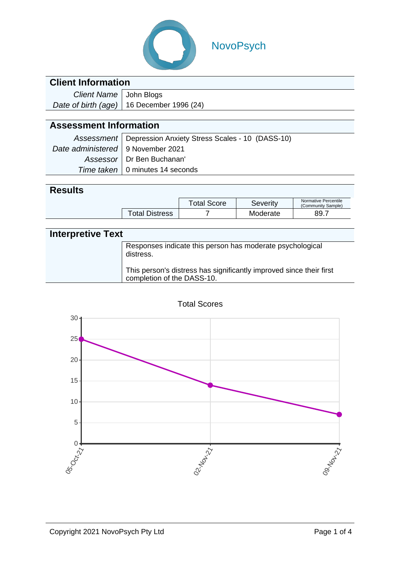

# NovoPsych

### **Client Information**

| Client Name   John Blogs |                                             |
|--------------------------|---------------------------------------------|
|                          | Date of birth (age)   16 December 1996 (24) |

# **Assessment Information**

|                                     | Assessment   Depression Anxiety Stress Scales - 10 (DASS-10) |
|-------------------------------------|--------------------------------------------------------------|
| Date administered   9 November 2021 |                                                              |
|                                     | Assessor   Dr Ben Buchanan'                                  |
|                                     | Time taken   0 minutes 14 seconds                            |

#### **Results**

|  |                       | Total Score | Severity | Normative Percentile<br>(Community Sample) |
|--|-----------------------|-------------|----------|--------------------------------------------|
|  | <b>Total Distress</b> |             | Moderate | 89.7                                       |

| <b>Interpretive Text</b> |                                                                                                   |  |  |  |
|--------------------------|---------------------------------------------------------------------------------------------------|--|--|--|
|                          | Responses indicate this person has moderate psychological<br>distress.                            |  |  |  |
|                          | This person's distress has significantly improved since their first<br>completion of the DASS-10. |  |  |  |



Total Scores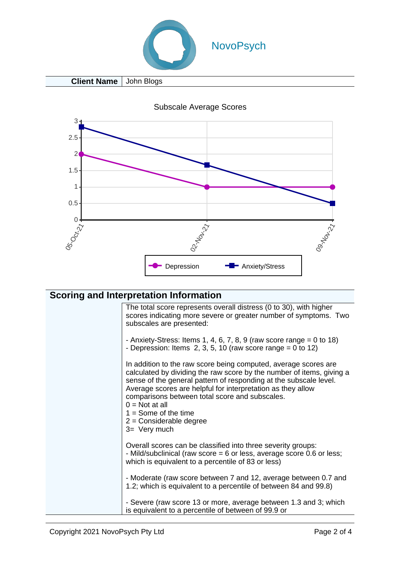

**Client Name** John Blogs

Subscale Average Scores



The total score represents overall distress (0 to 30), with higher scores indicating more severe or greater number of symptoms. Two subscales are presented:

- Anxiety-Stress: Items 1, 4, 6, 7, 8, 9 (raw score range  $= 0$  to 18)

- Depression: Items  $2, 3, 5, 10$  (raw score range = 0 to 12)

In addition to the raw score being computed, average scores are calculated by dividing the raw score by the number of items, giving a sense of the general pattern of responding at the subscale level. Average scores are helpful for interpretation as they allow comparisons between total score and subscales.  $0 = Not$  at all  $1 =$  Some of the time 2 = Considerable degree 3= Very much Overall scores can be classified into three severity groups:

- Mild/subclinical (raw score = 6 or less, average score 0.6 or less; which is equivalent to a percentile of 83 or less)

- Moderate (raw score between 7 and 12, average between 0.7 and 1.2; which is equivalent to a percentile of between 84 and 99.8)

- Severe (raw score 13 or more, average between 1.3 and 3; which is equivalent to a percentile of between of 99.9 or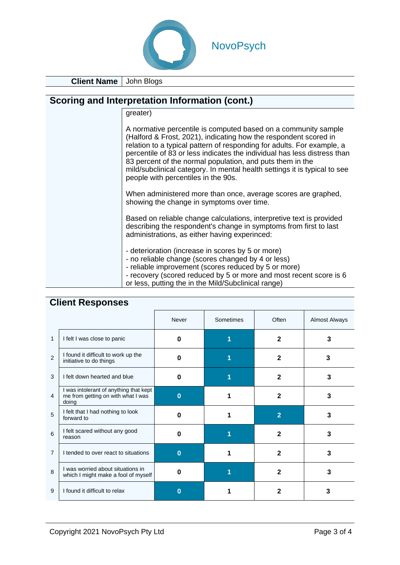

**Client Name** John Blogs

#### **Scoring and Interpretation Information (cont.)**

greater)

| A normative percentile is computed based on a community sample<br>(Halford & Frost, 2021), indicating how the respondent scored in<br>relation to a typical pattern of responding for adults. For example, a<br>percentile of 83 or less indicates the individual has less distress than<br>83 percent of the normal population, and puts them in the<br>mild/subclinical category. In mental health settings it is typical to see |
|------------------------------------------------------------------------------------------------------------------------------------------------------------------------------------------------------------------------------------------------------------------------------------------------------------------------------------------------------------------------------------------------------------------------------------|
| people with percentiles in the 90s.                                                                                                                                                                                                                                                                                                                                                                                                |
|                                                                                                                                                                                                                                                                                                                                                                                                                                    |

When administered more than once, average scores are graphed, showing the change in symptoms over time.

Based on reliable change calculations, interpretive text is provided describing the respondent's change in symptoms from first to last administrations, as either having experinced:

- deterioration (increase in scores by 5 or more)
- no reliable change (scores changed by 4 or less)
- reliable improvement (scores reduced by 5 or more)
- recovery (scored reduced by 5 or more and most recent score is 6 or less, putting the in the Mild/Subclinical range)

| <b>CHEIR RESPONSES</b> |                                                                                       |          |           |                |                      |
|------------------------|---------------------------------------------------------------------------------------|----------|-----------|----------------|----------------------|
|                        |                                                                                       | Never    | Sometimes | Often          | <b>Almost Always</b> |
| 1                      | I felt I was close to panic                                                           | 0        |           | $\mathbf{2}$   | 3                    |
| 2                      | I found it difficult to work up the<br>initiative to do things                        | 0        |           | $\mathbf{2}$   | 3                    |
| 3                      | I felt down hearted and blue                                                          | 0        |           | $\mathbf{2}$   | 3                    |
| 4                      | I was intolerant of anything that kept<br>me from getting on with what I was<br>doing | $\Omega$ |           | $\mathbf{2}$   | 3                    |
| 5                      | I felt that I had nothing to look<br>forward to                                       | n        |           | $\overline{2}$ | 3                    |
| 6                      | I felt scared without any good<br>reason                                              | 0        |           | 2              | 3                    |
| $\overline{7}$         | I tended to over react to situations                                                  | $\bf{0}$ |           | $\mathbf{2}$   | 3                    |
| 8                      | I was worried about situations in<br>which I might make a fool of myself              | 0        |           | $\mathbf{2}$   | 3                    |
| 9                      | I found it difficult to relax                                                         | O        |           | 2              | 3                    |

#### **Client Responses**